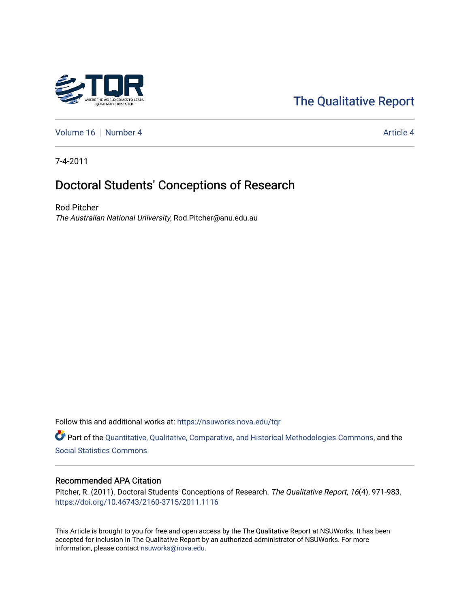# [The Qualitative Report](https://nsuworks.nova.edu/tqr)

[Volume 16](https://nsuworks.nova.edu/tqr/vol16) [Number 4](https://nsuworks.nova.edu/tqr/vol16/iss4) Article 4

7-4-2011

# Doctoral Students' Conceptions of Research

Rod Pitcher The Australian National University, Rod.Pitcher@anu.edu.au

Follow this and additional works at: [https://nsuworks.nova.edu/tqr](https://nsuworks.nova.edu/tqr?utm_source=nsuworks.nova.edu%2Ftqr%2Fvol16%2Fiss4%2F4&utm_medium=PDF&utm_campaign=PDFCoverPages) 

Part of the [Quantitative, Qualitative, Comparative, and Historical Methodologies Commons,](http://network.bepress.com/hgg/discipline/423?utm_source=nsuworks.nova.edu%2Ftqr%2Fvol16%2Fiss4%2F4&utm_medium=PDF&utm_campaign=PDFCoverPages) and the [Social Statistics Commons](http://network.bepress.com/hgg/discipline/1275?utm_source=nsuworks.nova.edu%2Ftqr%2Fvol16%2Fiss4%2F4&utm_medium=PDF&utm_campaign=PDFCoverPages) 

### Recommended APA Citation

Pitcher, R. (2011). Doctoral Students' Conceptions of Research. The Qualitative Report, 16(4), 971-983. <https://doi.org/10.46743/2160-3715/2011.1116>

This Article is brought to you for free and open access by the The Qualitative Report at NSUWorks. It has been accepted for inclusion in The Qualitative Report by an authorized administrator of NSUWorks. For more information, please contact [nsuworks@nova.edu.](mailto:nsuworks@nova.edu)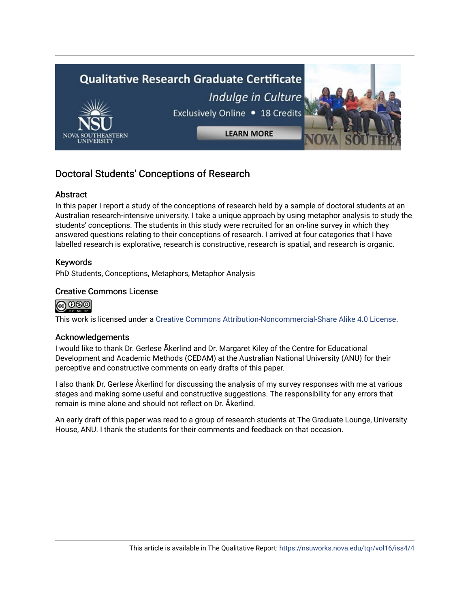

# Doctoral Students' Conceptions of Research

# Abstract

In this paper I report a study of the conceptions of research held by a sample of doctoral students at an Australian research-intensive university. I take a unique approach by using metaphor analysis to study the students' conceptions. The students in this study were recruited for an on-line survey in which they answered questions relating to their conceptions of research. I arrived at four categories that I have labelled research is explorative, research is constructive, research is spatial, and research is organic.

# Keywords

PhD Students, Conceptions, Metaphors, Metaphor Analysis

# Creative Commons License

# @000

This work is licensed under a [Creative Commons Attribution-Noncommercial-Share Alike 4.0 License](https://creativecommons.org/licenses/by-nc-sa/4.0/).

### Acknowledgements

I would like to thank Dr. Gerlese Åkerlind and Dr. Margaret Kiley of the Centre for Educational Development and Academic Methods (CEDAM) at the Australian National University (ANU) for their perceptive and constructive comments on early drafts of this paper.

I also thank Dr. Gerlese Åkerlind for discussing the analysis of my survey responses with me at various stages and making some useful and constructive suggestions. The responsibility for any errors that remain is mine alone and should not reflect on Dr. Åkerlind.

An early draft of this paper was read to a group of research students at The Graduate Lounge, University House, ANU. I thank the students for their comments and feedback on that occasion.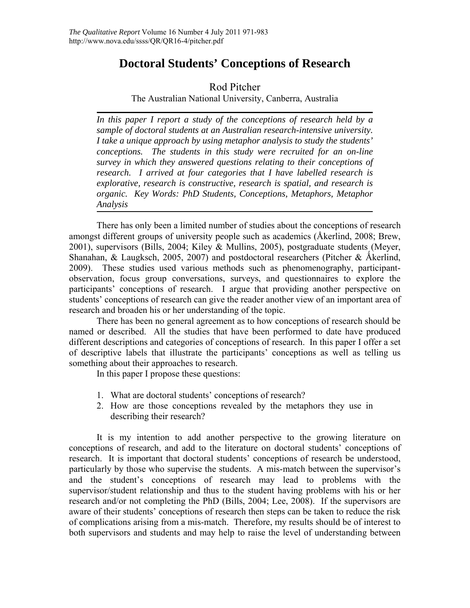# **Doctoral Students' Conceptions of Research**

# Rod Pitcher

The Australian National University, Canberra, Australia

*In this paper I report a study of the conceptions of research held by a sample of doctoral students at an Australian research-intensive university. I take a unique approach by using metaphor analysis to study the students' conceptions. The students in this study were recruited for an on-line survey in which they answered questions relating to their conceptions of research. I arrived at four categories that I have labelled research is explorative, research is constructive, research is spatial, and research is organic. Key Words: PhD Students, Conceptions, Metaphors, Metaphor Analysis* 

There has only been a limited number of studies about the conceptions of research amongst different groups of university people such as academics (Åkerlind, 2008; Brew, 2001), supervisors (Bills, 2004; Kiley & Mullins, 2005), postgraduate students (Meyer, Shanahan, & Laugksch, 2005, 2007) and postdoctoral researchers (Pitcher & Åkerlind, 2009). These studies used various methods such as phenomenography, participantobservation, focus group conversations, surveys, and questionnaires to explore the participants' conceptions of research. I argue that providing another perspective on students' conceptions of research can give the reader another view of an important area of research and broaden his or her understanding of the topic.

There has been no general agreement as to how conceptions of research should be named or described. All the studies that have been performed to date have produced different descriptions and categories of conceptions of research. In this paper I offer a set of descriptive labels that illustrate the participants' conceptions as well as telling us something about their approaches to research.

In this paper I propose these questions:

- 1. What are doctoral students' conceptions of research?
- 2. How are those conceptions revealed by the metaphors they use in describing their research?

It is my intention to add another perspective to the growing literature on conceptions of research, and add to the literature on doctoral students' conceptions of research. It is important that doctoral students' conceptions of research be understood, particularly by those who supervise the students. A mis-match between the supervisor's and the student's conceptions of research may lead to problems with the supervisor/student relationship and thus to the student having problems with his or her research and/or not completing the PhD (Bills, 2004; Lee, 2008). If the supervisors are aware of their students' conceptions of research then steps can be taken to reduce the risk of complications arising from a mis-match. Therefore, my results should be of interest to both supervisors and students and may help to raise the level of understanding between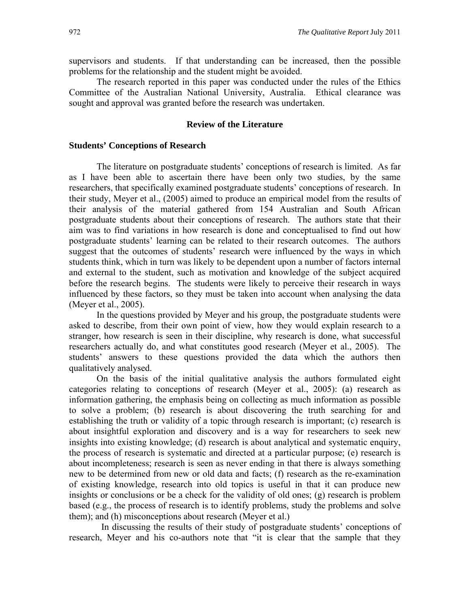supervisors and students. If that understanding can be increased, then the possible problems for the relationship and the student might be avoided.

The research reported in this paper was conducted under the rules of the Ethics Committee of the Australian National University, Australia. Ethical clearance was sought and approval was granted before the research was undertaken.

#### **Review of the Literature**

#### **Students' Conceptions of Research**

The literature on postgraduate students' conceptions of research is limited. As far as I have been able to ascertain there have been only two studies, by the same researchers, that specifically examined postgraduate students' conceptions of research. In their study, Meyer et al., (2005) aimed to produce an empirical model from the results of their analysis of the material gathered from 154 Australian and South African postgraduate students about their conceptions of research. The authors state that their aim was to find variations in how research is done and conceptualised to find out how postgraduate students' learning can be related to their research outcomes. The authors suggest that the outcomes of students' research were influenced by the ways in which students think, which in turn was likely to be dependent upon a number of factors internal and external to the student, such as motivation and knowledge of the subject acquired before the research begins. The students were likely to perceive their research in ways influenced by these factors, so they must be taken into account when analysing the data (Meyer et al., 2005).

In the questions provided by Meyer and his group, the postgraduate students were asked to describe, from their own point of view, how they would explain research to a stranger, how research is seen in their discipline, why research is done, what successful researchers actually do, and what constitutes good research (Meyer et al., 2005). The students' answers to these questions provided the data which the authors then qualitatively analysed.

On the basis of the initial qualitative analysis the authors formulated eight categories relating to conceptions of research (Meyer et al., 2005): (a) research as information gathering, the emphasis being on collecting as much information as possible to solve a problem; (b) research is about discovering the truth searching for and establishing the truth or validity of a topic through research is important; (c) research is about insightful exploration and discovery and is a way for researchers to seek new insights into existing knowledge; (d) research is about analytical and systematic enquiry, the process of research is systematic and directed at a particular purpose; (e) research is about incompleteness; research is seen as never ending in that there is always something new to be determined from new or old data and facts; (f) research as the re-examination of existing knowledge, research into old topics is useful in that it can produce new insights or conclusions or be a check for the validity of old ones; (g) research is problem based (e.g., the process of research is to identify problems, study the problems and solve them); and (h) misconceptions about research (Meyer et al.)

 In discussing the results of their study of postgraduate students' conceptions of research, Meyer and his co-authors note that "it is clear that the sample that they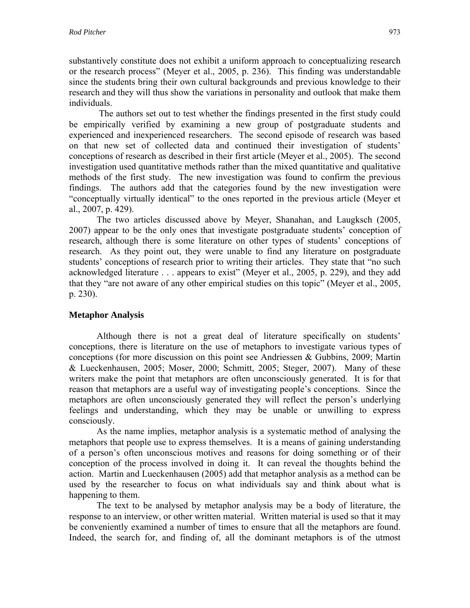substantively constitute does not exhibit a uniform approach to conceptualizing research or the research process" (Meyer et al., 2005, p. 236). This finding was understandable since the students bring their own cultural backgrounds and previous knowledge to their research and they will thus show the variations in personality and outlook that make them individuals.

 The authors set out to test whether the findings presented in the first study could be empirically verified by examining a new group of postgraduate students and experienced and inexperienced researchers. The second episode of research was based on that new set of collected data and continued their investigation of students' conceptions of research as described in their first article (Meyer et al., 2005). The second investigation used quantitative methods rather than the mixed quantitative and qualitative methods of the first study. The new investigation was found to confirm the previous findings. The authors add that the categories found by the new investigation were "conceptually virtually identical" to the ones reported in the previous article (Meyer et al., 2007, p. 429).

The two articles discussed above by Meyer, Shanahan, and Laugksch (2005, 2007) appear to be the only ones that investigate postgraduate students' conception of research, although there is some literature on other types of students' conceptions of research. As they point out, they were unable to find any literature on postgraduate students' conceptions of research prior to writing their articles. They state that "no such acknowledged literature . . . appears to exist" (Meyer et al., 2005, p. 229), and they add that they "are not aware of any other empirical studies on this topic" (Meyer et al., 2005, p. 230).

# **Metaphor Analysis**

Although there is not a great deal of literature specifically on students' conceptions, there is literature on the use of metaphors to investigate various types of conceptions (for more discussion on this point see Andriessen & Gubbins, 2009; Martin & Lueckenhausen, 2005; Moser, 2000; Schmitt, 2005; Steger, 2007). Many of these writers make the point that metaphors are often unconsciously generated. It is for that reason that metaphors are a useful way of investigating people's conceptions. Since the metaphors are often unconsciously generated they will reflect the person's underlying feelings and understanding, which they may be unable or unwilling to express consciously.

As the name implies, metaphor analysis is a systematic method of analysing the metaphors that people use to express themselves. It is a means of gaining understanding of a person's often unconscious motives and reasons for doing something or of their conception of the process involved in doing it. It can reveal the thoughts behind the action. Martin and Lueckenhausen (2005) add that metaphor analysis as a method can be used by the researcher to focus on what individuals say and think about what is happening to them.

The text to be analysed by metaphor analysis may be a body of literature, the response to an interview, or other written material. Written material is used so that it may be conveniently examined a number of times to ensure that all the metaphors are found. Indeed, the search for, and finding of, all the dominant metaphors is of the utmost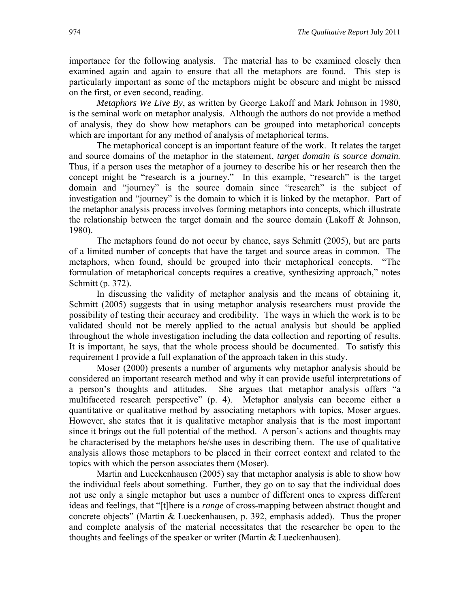importance for the following analysis. The material has to be examined closely then examined again and again to ensure that all the metaphors are found. This step is particularly important as some of the metaphors might be obscure and might be missed on the first, or even second, reading.

*Metaphors We Live By*, as written by George Lakoff and Mark Johnson in 1980, is the seminal work on metaphor analysis. Although the authors do not provide a method of analysis, they do show how metaphors can be grouped into metaphorical concepts which are important for any method of analysis of metaphorical terms.

The metaphorical concept is an important feature of the work. It relates the target and source domains of the metaphor in the statement, *target domain is source domain.* Thus, if a person uses the metaphor of a journey to describe his or her research then the concept might be "research is a journey." In this example, "research" is the target domain and "journey" is the source domain since "research" is the subject of investigation and "journey" is the domain to which it is linked by the metaphor. Part of the metaphor analysis process involves forming metaphors into concepts, which illustrate the relationship between the target domain and the source domain (Lakoff & Johnson, 1980).

The metaphors found do not occur by chance, says Schmitt (2005), but are parts of a limited number of concepts that have the target and source areas in common. The metaphors, when found, should be grouped into their metaphorical concepts. "The formulation of metaphorical concepts requires a creative, synthesizing approach," notes Schmitt (p. 372).

In discussing the validity of metaphor analysis and the means of obtaining it, Schmitt (2005) suggests that in using metaphor analysis researchers must provide the possibility of testing their accuracy and credibility. The ways in which the work is to be validated should not be merely applied to the actual analysis but should be applied throughout the whole investigation including the data collection and reporting of results. It is important, he says, that the whole process should be documented. To satisfy this requirement I provide a full explanation of the approach taken in this study.

Moser (2000) presents a number of arguments why metaphor analysis should be considered an important research method and why it can provide useful interpretations of a person's thoughts and attitudes. She argues that metaphor analysis offers "a multifaceted research perspective" (p. 4). Metaphor analysis can become either a quantitative or qualitative method by associating metaphors with topics, Moser argues. However, she states that it is qualitative metaphor analysis that is the most important since it brings out the full potential of the method. A person's actions and thoughts may be characterised by the metaphors he/she uses in describing them. The use of qualitative analysis allows those metaphors to be placed in their correct context and related to the topics with which the person associates them (Moser).

Martin and Lueckenhausen (2005) say that metaphor analysis is able to show how the individual feels about something. Further, they go on to say that the individual does not use only a single metaphor but uses a number of different ones to express different ideas and feelings, that "[t]here is a *range* of cross-mapping between abstract thought and concrete objects" (Martin & Lueckenhausen, p. 392, emphasis added). Thus the proper and complete analysis of the material necessitates that the researcher be open to the thoughts and feelings of the speaker or writer (Martin & Lueckenhausen).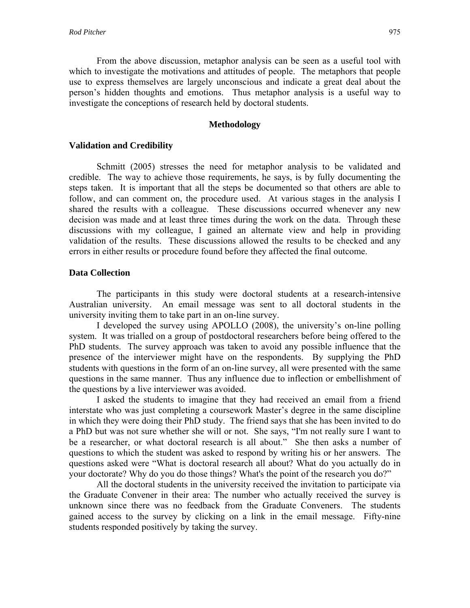From the above discussion, metaphor analysis can be seen as a useful tool with which to investigate the motivations and attitudes of people. The metaphors that people use to express themselves are largely unconscious and indicate a great deal about the person's hidden thoughts and emotions. Thus metaphor analysis is a useful way to investigate the conceptions of research held by doctoral students.

#### **Methodology**

### **Validation and Credibility**

Schmitt (2005) stresses the need for metaphor analysis to be validated and credible. The way to achieve those requirements, he says, is by fully documenting the steps taken. It is important that all the steps be documented so that others are able to follow, and can comment on, the procedure used. At various stages in the analysis I shared the results with a colleague. These discussions occurred whenever any new decision was made and at least three times during the work on the data. Through these discussions with my colleague, I gained an alternate view and help in providing validation of the results. These discussions allowed the results to be checked and any errors in either results or procedure found before they affected the final outcome.

# **Data Collection**

The participants in this study were doctoral students at a research-intensive Australian university. An email message was sent to all doctoral students in the university inviting them to take part in an on-line survey.

I developed the survey using APOLLO (2008), the university's on-line polling system. It was trialled on a group of postdoctoral researchers before being offered to the PhD students. The survey approach was taken to avoid any possible influence that the presence of the interviewer might have on the respondents. By supplying the PhD students with questions in the form of an on-line survey, all were presented with the same questions in the same manner. Thus any influence due to inflection or embellishment of the questions by a live interviewer was avoided.

I asked the students to imagine that they had received an email from a friend interstate who was just completing a coursework Master's degree in the same discipline in which they were doing their PhD study. The friend says that she has been invited to do a PhD but was not sure whether she will or not. She says, "I'm not really sure I want to be a researcher, or what doctoral research is all about." She then asks a number of questions to which the student was asked to respond by writing his or her answers. The questions asked were "What is doctoral research all about? What do you actually do in your doctorate? Why do you do those things? What's the point of the research you do?"

All the doctoral students in the university received the invitation to participate via the Graduate Convener in their area: The number who actually received the survey is unknown since there was no feedback from the Graduate Conveners. The students gained access to the survey by clicking on a link in the email message. Fifty-nine students responded positively by taking the survey.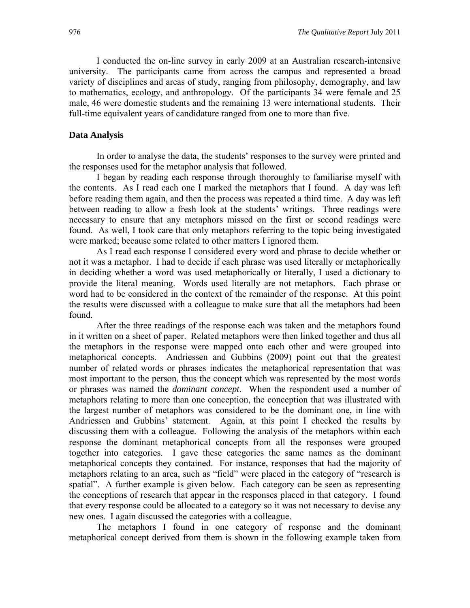I conducted the on-line survey in early 2009 at an Australian research-intensive university. The participants came from across the campus and represented a broad variety of disciplines and areas of study, ranging from philosophy, demography, and law to mathematics, ecology, and anthropology. Of the participants 34 were female and 25 male, 46 were domestic students and the remaining 13 were international students. Their full-time equivalent years of candidature ranged from one to more than five.

#### **Data Analysis**

In order to analyse the data, the students' responses to the survey were printed and the responses used for the metaphor analysis that followed.

I began by reading each response through thoroughly to familiarise myself with the contents. As I read each one I marked the metaphors that I found. A day was left before reading them again, and then the process was repeated a third time. A day was left between reading to allow a fresh look at the students' writings. Three readings were necessary to ensure that any metaphors missed on the first or second readings were found. As well, I took care that only metaphors referring to the topic being investigated were marked; because some related to other matters I ignored them.

As I read each response I considered every word and phrase to decide whether or not it was a metaphor. I had to decide if each phrase was used literally or metaphorically in deciding whether a word was used metaphorically or literally, I used a dictionary to provide the literal meaning. Words used literally are not metaphors. Each phrase or word had to be considered in the context of the remainder of the response. At this point the results were discussed with a colleague to make sure that all the metaphors had been found.

After the three readings of the response each was taken and the metaphors found in it written on a sheet of paper. Related metaphors were then linked together and thus all the metaphors in the response were mapped onto each other and were grouped into metaphorical concepts. Andriessen and Gubbins (2009) point out that the greatest number of related words or phrases indicates the metaphorical representation that was most important to the person, thus the concept which was represented by the most words or phrases was named the *dominant concept*. When the respondent used a number of metaphors relating to more than one conception, the conception that was illustrated with the largest number of metaphors was considered to be the dominant one, in line with Andriessen and Gubbins' statement. Again, at this point I checked the results by discussing them with a colleague. Following the analysis of the metaphors within each response the dominant metaphorical concepts from all the responses were grouped together into categories. I gave these categories the same names as the dominant metaphorical concepts they contained. For instance, responses that had the majority of metaphors relating to an area, such as "field" were placed in the category of "research is spatial". A further example is given below. Each category can be seen as representing the conceptions of research that appear in the responses placed in that category. I found that every response could be allocated to a category so it was not necessary to devise any new ones. I again discussed the categories with a colleague.

The metaphors I found in one category of response and the dominant metaphorical concept derived from them is shown in the following example taken from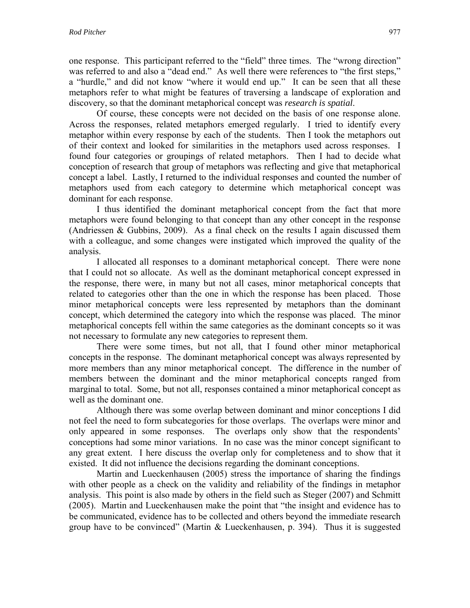one response. This participant referred to the "field" three times. The "wrong direction" was referred to and also a "dead end." As well there were references to "the first steps," a "hurdle," and did not know "where it would end up." It can be seen that all these metaphors refer to what might be features of traversing a landscape of exploration and discovery, so that the dominant metaphorical concept was *research is spatial*.

Of course, these concepts were not decided on the basis of one response alone. Across the responses, related metaphors emerged regularly.I tried to identify every metaphor within every response by each of the students. Then I took the metaphors out of their context and looked for similarities in the metaphors used across responses. I found four categories or groupings of related metaphors. Then I had to decide what conception of research that group of metaphors was reflecting and give that metaphorical concept a label. Lastly, I returned to the individual responses and counted the number of metaphors used from each category to determine which metaphorical concept was dominant for each response.

I thus identified the dominant metaphorical concept from the fact that more metaphors were found belonging to that concept than any other concept in the response (Andriessen & Gubbins, 2009). As a final check on the results I again discussed them with a colleague, and some changes were instigated which improved the quality of the analysis.

I allocated all responses to a dominant metaphorical concept. There were none that I could not so allocate. As well as the dominant metaphorical concept expressed in the response, there were, in many but not all cases, minor metaphorical concepts that related to categories other than the one in which the response has been placed. Those minor metaphorical concepts were less represented by metaphors than the dominant concept, which determined the category into which the response was placed. The minor metaphorical concepts fell within the same categories as the dominant concepts so it was not necessary to formulate any new categories to represent them.

There were some times, but not all, that I found other minor metaphorical concepts in the response. The dominant metaphorical concept was always represented by more members than any minor metaphorical concept. The difference in the number of members between the dominant and the minor metaphorical concepts ranged from marginal to total. Some, but not all, responses contained a minor metaphorical concept as well as the dominant one.

Although there was some overlap between dominant and minor conceptions I did not feel the need to form subcategories for those overlaps. The overlaps were minor and only appeared in some responses. The overlaps only show that the respondents' conceptions had some minor variations. In no case was the minor concept significant to any great extent. I here discuss the overlap only for completeness and to show that it existed. It did not influence the decisions regarding the dominant conceptions.

Martin and Lueckenhausen (2005) stress the importance of sharing the findings with other people as a check on the validity and reliability of the findings in metaphor analysis. This point is also made by others in the field such as Steger (2007) and Schmitt (2005). Martin and Lueckenhausen make the point that "the insight and evidence has to be communicated, evidence has to be collected and others beyond the immediate research group have to be convinced" (Martin & Lueckenhausen, p. 394). Thus it is suggested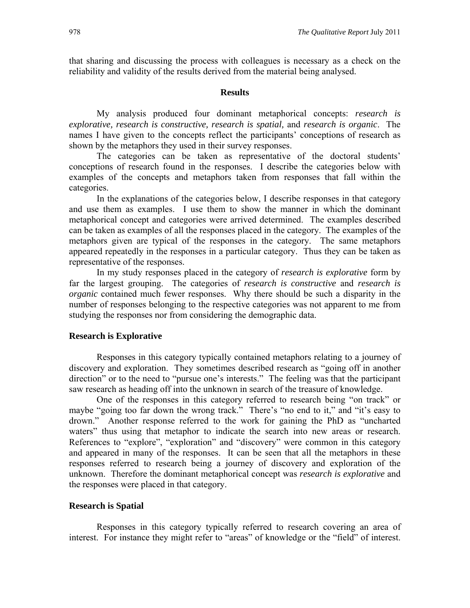that sharing and discussing the process with colleagues is necessary as a check on the reliability and validity of the results derived from the material being analysed.

#### **Results**

My analysis produced four dominant metaphorical concepts: *research is explorative, research is constructive, research is spatial,* and *research is organic*. The names I have given to the concepts reflect the participants' conceptions of research as shown by the metaphors they used in their survey responses.

The categories can be taken as representative of the doctoral students' conceptions of research found in the responses. I describe the categories below with examples of the concepts and metaphors taken from responses that fall within the categories.

In the explanations of the categories below, I describe responses in that category and use them as examples. I use them to show the manner in which the dominant metaphorical concept and categories were arrived determined. The examples described can be taken as examples of all the responses placed in the category. The examples of the metaphors given are typical of the responses in the category. The same metaphors appeared repeatedly in the responses in a particular category. Thus they can be taken as representative of the responses.

In my study responses placed in the category of *research is explorative* form by far the largest grouping. The categories of *research is constructive* and *research is organic* contained much fewer responses. Why there should be such a disparity in the number of responses belonging to the respective categories was not apparent to me from studying the responses nor from considering the demographic data.

#### **Research is Explorative**

Responses in this category typically contained metaphors relating to a journey of discovery and exploration. They sometimes described research as "going off in another direction" or to the need to "pursue one's interests." The feeling was that the participant saw research as heading off into the unknown in search of the treasure of knowledge.

One of the responses in this category referred to research being "on track" or maybe "going too far down the wrong track." There's "no end to it," and "it's easy to drown." Another response referred to the work for gaining the PhD as "uncharted waters" thus using that metaphor to indicate the search into new areas or research. References to "explore", "exploration" and "discovery" were common in this category and appeared in many of the responses. It can be seen that all the metaphors in these responses referred to research being a journey of discovery and exploration of the unknown. Therefore the dominant metaphorical concept was *research is explorative* and the responses were placed in that category.

#### **Research is Spatial**

Responses in this category typically referred to research covering an area of interest. For instance they might refer to "areas" of knowledge or the "field" of interest.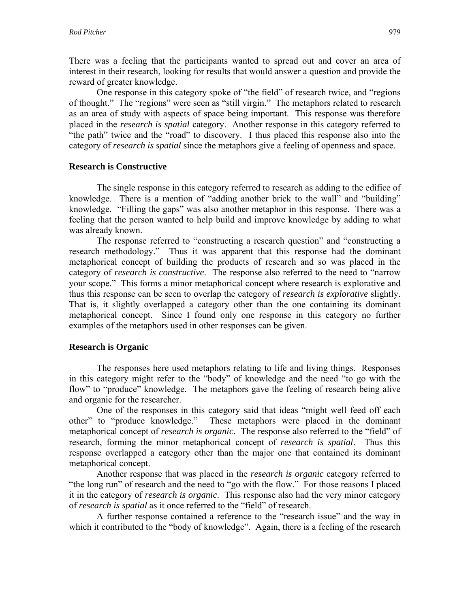There was a feeling that the participants wanted to spread out and cover an area of interest in their research, looking for results that would answer a question and provide the reward of greater knowledge.

One response in this category spoke of "the field" of research twice, and "regions of thought." The "regions" were seen as "still virgin." The metaphors related to research as an area of study with aspects of space being important. This response was therefore placed in the *research is spatial* category. Another response in this category referred to "the path" twice and the "road" to discovery. I thus placed this response also into the category of *research is spatial* since the metaphors give a feeling of openness and space.

### **Research is Constructive**

The single response in this category referred to research as adding to the edifice of knowledge. There is a mention of "adding another brick to the wall" and "building" knowledge. "Filling the gaps" was also another metaphor in this response. There was a feeling that the person wanted to help build and improve knowledge by adding to what was already known.

The response referred to "constructing a research question" and "constructing a research methodology." Thus it was apparent that this response had the dominant metaphorical concept of building the products of research and so was placed in the category of *research is constructive*. The response also referred to the need to "narrow your scope." This forms a minor metaphorical concept where research is explorative and thus this response can be seen to overlap the category of *research is explorative* slightly. That is, it slightly overlapped a category other than the one containing its dominant metaphorical concept. Since I found only one response in this category no further examples of the metaphors used in other responses can be given.

### **Research is Organic**

The responses here used metaphors relating to life and living things. Responses in this category might refer to the "body" of knowledge and the need "to go with the flow" to "produce" knowledge. The metaphors gave the feeling of research being alive and organic for the researcher.

One of the responses in this category said that ideas "might well feed off each other" to "produce knowledge." These metaphors were placed in the dominant metaphorical concept of *research is organic*. The response also referred to the "field" of research, forming the minor metaphorical concept of *research is spatial*. Thus this response overlapped a category other than the major one that contained its dominant metaphorical concept.

Another response that was placed in the *research is organic* category referred to "the long run" of research and the need to "go with the flow." For those reasons I placed it in the category of *research is organic*. This response also had the very minor category of *research is spatial* as it once referred to the "field" of research.

A further response contained a reference to the "research issue" and the way in which it contributed to the "body of knowledge". Again, there is a feeling of the research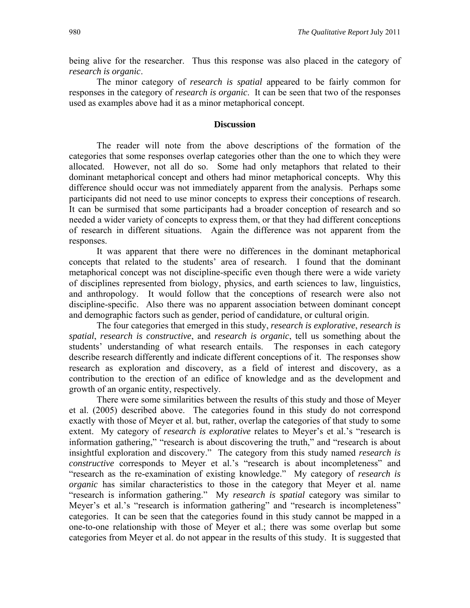being alive for the researcher. Thus this response was also placed in the category of *research is organic*.

The minor category of *research is spatial* appeared to be fairly common for responses in the category of *research is organic*. It can be seen that two of the responses used as examples above had it as a minor metaphorical concept.

#### **Discussion**

The reader will note from the above descriptions of the formation of the categories that some responses overlap categories other than the one to which they were allocated. However, not all do so. Some had only metaphors that related to their dominant metaphorical concept and others had minor metaphorical concepts. Why this difference should occur was not immediately apparent from the analysis. Perhaps some participants did not need to use minor concepts to express their conceptions of research. It can be surmised that some participants had a broader conception of research and so needed a wider variety of concepts to express them, or that they had different conceptions of research in different situations. Again the difference was not apparent from the responses.

It was apparent that there were no differences in the dominant metaphorical concepts that related to the students' area of research. I found that the dominant metaphorical concept was not discipline-specific even though there were a wide variety of disciplines represented from biology, physics, and earth sciences to law, linguistics, and anthropology. It would follow that the conceptions of research were also not discipline-specific. Also there was no apparent association between dominant concept and demographic factors such as gender, period of candidature, or cultural origin.

The four categories that emerged in this study, *research is explorative*, *research is spatial*, *research is constructive*, and *research is organic*, tell us something about the students' understanding of what research entails. The responses in each category describe research differently and indicate different conceptions of it. The responses show research as exploration and discovery, as a field of interest and discovery, as a contribution to the erection of an edifice of knowledge and as the development and growth of an organic entity, respectively.

There were some similarities between the results of this study and those of Meyer et al. (2005) described above. The categories found in this study do not correspond exactly with those of Meyer et al. but, rather, overlap the categories of that study to some extent. My category of *research is explorative* relates to Meyer's et al.'s "research is information gathering," "research is about discovering the truth," and "research is about insightful exploration and discovery." The category from this study named *research is constructive* corresponds to Meyer et al.'s "research is about incompleteness" and "research as the re-examination of existing knowledge." My category of *research is organic* has similar characteristics to those in the category that Meyer et al. name "research is information gathering." My *research is spatial* category was similar to Meyer's et al.'s "research is information gathering" and "research is incompleteness" categories. It can be seen that the categories found in this study cannot be mapped in a one-to-one relationship with those of Meyer et al.; there was some overlap but some categories from Meyer et al. do not appear in the results of this study. It is suggested that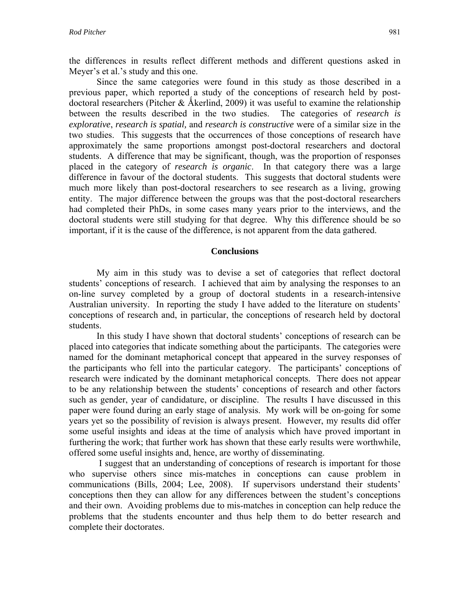the differences in results reflect different methods and different questions asked in Meyer's et al.'s study and this one.

Since the same categories were found in this study as those described in a previous paper, which reported a study of the conceptions of research held by postdoctoral researchers (Pitcher & Åkerlind, 2009) it was useful to examine the relationship between the results described in the two studies. The categories of *research is explorative*, *research is spatial,* and *research is constructive* were of a similar size in the two studies. This suggests that the occurrences of those conceptions of research have approximately the same proportions amongst post-doctoral researchers and doctoral students. A difference that may be significant, though, was the proportion of responses placed in the category of *research is organic*. In that category there was a large difference in favour of the doctoral students. This suggests that doctoral students were much more likely than post-doctoral researchers to see research as a living, growing entity. The major difference between the groups was that the post-doctoral researchers had completed their PhDs, in some cases many years prior to the interviews, and the doctoral students were still studying for that degree. Why this difference should be so important, if it is the cause of the difference, is not apparent from the data gathered.

#### **Conclusions**

My aim in this study was to devise a set of categories that reflect doctoral students' conceptions of research. I achieved that aim by analysing the responses to an on-line survey completed by a group of doctoral students in a research-intensive Australian university. In reporting the study I have added to the literature on students' conceptions of research and, in particular, the conceptions of research held by doctoral students.

In this study I have shown that doctoral students' conceptions of research can be placed into categories that indicate something about the participants. The categories were named for the dominant metaphorical concept that appeared in the survey responses of the participants who fell into the particular category. The participants' conceptions of research were indicated by the dominant metaphorical concepts. There does not appear to be any relationship between the students' conceptions of research and other factors such as gender, year of candidature, or discipline. The results I have discussed in this paper were found during an early stage of analysis. My work will be on-going for some years yet so the possibility of revision is always present. However, my results did offer some useful insights and ideas at the time of analysis which have proved important in furthering the work; that further work has shown that these early results were worthwhile, offered some useful insights and, hence, are worthy of disseminating.

 I suggest that an understanding of conceptions of research is important for those who supervise others since mis-matches in conceptions can cause problem in communications (Bills, 2004; Lee, 2008). If supervisors understand their students' conceptions then they can allow for any differences between the student's conceptions and their own. Avoiding problems due to mis-matches in conception can help reduce the problems that the students encounter and thus help them to do better research and complete their doctorates.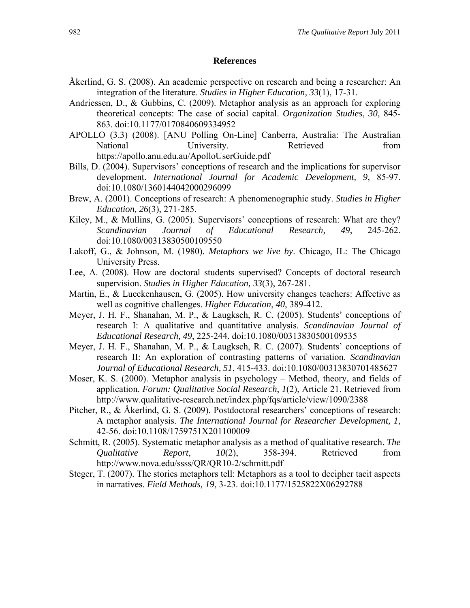#### **References**

- Åkerlind, G. S. (2008). An academic perspective on research and being a researcher: An integration of the literature. *Studies in Higher Education, 33*(1), 17-31.
- Andriessen, D., & Gubbins, C. (2009). Metaphor analysis as an approach for exploring theoretical concepts: The case of social capital. *Organization Studies*, *30*, 845- 863. doi:10.1177/0170840609334952
- APOLLO (3.3) (2008). [ANU Polling On-Line] Canberra, Australia: The Australian National University. Retrieved from https://apollo.anu.edu.au/ApolloUserGuide.pdf
- Bills, D. (2004). Supervisors' conceptions of research and the implications for supervisor development. *International Journal for Academic Development, 9*, 85-97. doi:10.1080/1360144042000296099
- Brew, A. (2001). Conceptions of research: A phenomenographic study. *Studies in Higher Education, 26*(3), 271-285.
- Kiley, M., & Mullins, G. (2005). Supervisors' conceptions of research: What are they? *Scandinavian Journal of Educational Research, 49*, 245-262. doi:10.1080/00313830500109550
- Lakoff, G., & Johnson, M. (1980). *Metaphors we live by*. Chicago, IL: The Chicago University Press.
- Lee, A. (2008). How are doctoral students supervised? Concepts of doctoral research supervision. *Studies in Higher Education, 33*(3), 267-281.
- Martin, E., & Lueckenhausen, G. (2005). How university changes teachers: Affective as well as cognitive challenges. *Higher Education*, *40*, 389-412.
- Meyer, J. H. F., Shanahan, M. P., & Laugksch, R. C. (2005). Students' conceptions of research I: A qualitative and quantitative analysis. *Scandinavian Journal of Educational Research, 49*, 225-244. doi:10.1080/00313830500109535
- Meyer, J. H. F., Shanahan, M. P., & Laugksch, R. C. (2007). Students' conceptions of research II: An exploration of contrasting patterns of variation. *Scandinavian Journal of Educational Research, 51*, 415-433. doi:10.1080/00313830701485627
- Moser, K. S. (2000). Metaphor analysis in psychology Method, theory, and fields of application. *Forum: Qualitative Social Research*, *1*(2), Article 21. Retrieved from http://www.qualitative-research.net/index.php/fqs/article/view/1090/2388
- Pitcher, R., & Åkerlind, G. S. (2009). Postdoctoral researchers' conceptions of research: A metaphor analysis. *The International Journal for Researcher Development, 1*, 42-56. doi:10.1108/1759751X201100009
- Schmitt, R. (2005). Systematic metaphor analysis as a method of qualitative research. *The Qualitative Report*, *10*(2), 358-394. Retrieved from http://www.nova.edu/ssss/QR/QR10-2/schmitt.pdf
- Steger, T. (2007). The stories metaphors tell: Metaphors as a tool to decipher tacit aspects in narratives. *Field Methods, 19*, 3-23. doi:10.1177/1525822X06292788